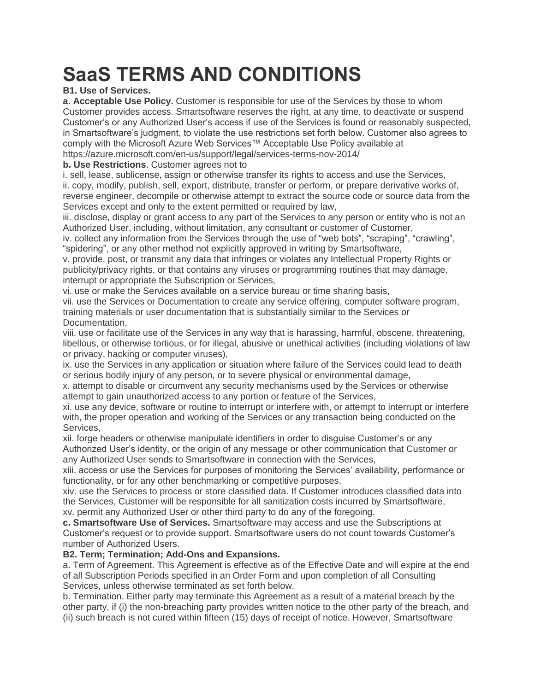# **SaaS TERMS AND CONDITIONS**

# **B1. Use of Services.**

**a. Acceptable Use Policy.** Customer is responsible for use of the Services by those to whom Customer provides access. Smartsoftware reserves the right, at any time, to deactivate or suspend Customer's or any Authorized User's access if use of the Services is found or reasonably suspected, in Smartsoftware's judgment, to violate the use restrictions set forth below. Customer also agrees to comply with the Microsoft Azure Web Services™ Acceptable Use Policy available at https://azure.microsoft.com/en-us/support/legal/services-terms-nov-2014/

# **b. Use Restrictions**. Customer agrees not to

i. sell, lease, sublicense, assign or otherwise transfer its rights to access and use the Services, ii. copy, modify, publish, sell, export, distribute, transfer or perform, or prepare derivative works of, reverse engineer, decompile or otherwise attempt to extract the source code or source data from the Services except and only to the extent permitted or required by law,

iii. disclose, display or grant access to any part of the Services to any person or entity who is not an Authorized User, including, without limitation, any consultant or customer of Customer.

iv. collect any information from the Services through the use of "web bots", "scraping", "crawling", "spidering", or any other method not explicitly approved in writing by Smartsoftware,

v. provide, post, or transmit any data that infringes or violates any Intellectual Property Rights or publicity/privacy rights, or that contains any viruses or programming routines that may damage, interrupt or appropriate the Subscription or Services,

vi. use or make the Services available on a service bureau or time sharing basis,

vii. use the Services or Documentation to create any service offering, computer software program, training materials or user documentation that is substantially similar to the Services or Documentation,

viii. use or facilitate use of the Services in any way that is harassing, harmful, obscene, threatening, libellous, or otherwise tortious, or for illegal, abusive or unethical activities (including violations of law or privacy, hacking or computer viruses),

ix. use the Services in any application or situation where failure of the Services could lead to death or serious bodily injury of any person, or to severe physical or environmental damage,

x. attempt to disable or circumvent any security mechanisms used by the Services or otherwise attempt to gain unauthorized access to any portion or feature of the Services,

xi. use any device, software or routine to interrupt or interfere with, or attempt to interrupt or interfere with, the proper operation and working of the Services or any transaction being conducted on the Services,

xii. forge headers or otherwise manipulate identifiers in order to disguise Customer's or any Authorized User's identity, or the origin of any message or other communication that Customer or any Authorized User sends to Smartsoftware in connection with the Services,

xiii. access or use the Services for purposes of monitoring the Services' availability, performance or functionality, or for any other benchmarking or competitive purposes,

xiv. use the Services to process or store classified data. If Customer introduces classified data into the Services, Customer will be responsible for all sanitization costs incurred by Smartsoftware, xv. permit any Authorized User or other third party to do any of the foregoing.

**c. Smartsoftware Use of Services.** Smartsoftware may access and use the Subscriptions at Customer's request or to provide support. Smartsoftware users do not count towards Customer's number of Authorized Users.

# **B2. Term; Termination; Add-Ons and Expansions.**

a. Term of Agreement. This Agreement is effective as of the Effective Date and will expire at the end of all Subscription Periods specified in an Order Form and upon completion of all Consulting Services, unless otherwise terminated as set forth below.

b. Termination. Either party may terminate this Agreement as a result of a material breach by the other party, if (i) the non-breaching party provides written notice to the other party of the breach, and (ii) such breach is not cured within fifteen (15) days of receipt of notice. However, Smartsoftware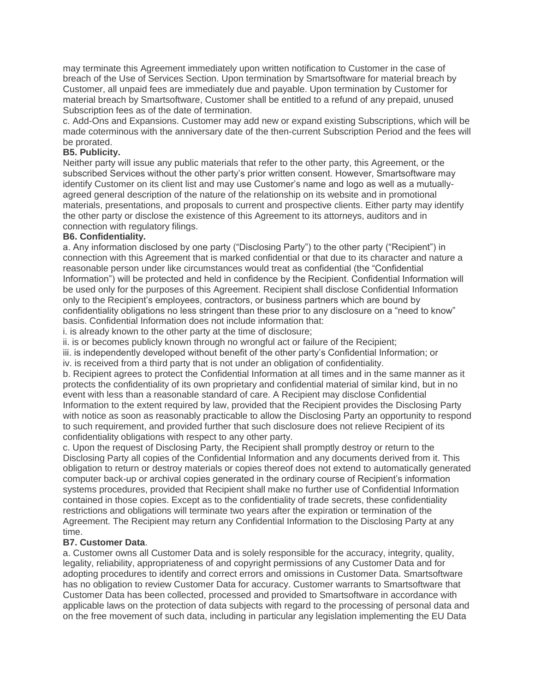may terminate this Agreement immediately upon written notification to Customer in the case of breach of the Use of Services Section. Upon termination by Smartsoftware for material breach by Customer, all unpaid fees are immediately due and payable. Upon termination by Customer for material breach by Smartsoftware, Customer shall be entitled to a refund of any prepaid, unused Subscription fees as of the date of termination.

c. Add-Ons and Expansions. Customer may add new or expand existing Subscriptions, which will be made coterminous with the anniversary date of the then-current Subscription Period and the fees will be prorated.

## **B5. Publicity.**

Neither party will issue any public materials that refer to the other party, this Agreement, or the subscribed Services without the other party's prior written consent. However, Smartsoftware may identify Customer on its client list and may use Customer's name and logo as well as a mutuallyagreed general description of the nature of the relationship on its website and in promotional materials, presentations, and proposals to current and prospective clients. Either party may identify the other party or disclose the existence of this Agreement to its attorneys, auditors and in connection with regulatory filings.

## **B6. Confidentiality.**

a. Any information disclosed by one party ("Disclosing Party") to the other party ("Recipient") in connection with this Agreement that is marked confidential or that due to its character and nature a reasonable person under like circumstances would treat as confidential (the "Confidential Information") will be protected and held in confidence by the Recipient. Confidential Information will be used only for the purposes of this Agreement. Recipient shall disclose Confidential Information only to the Recipient's employees, contractors, or business partners which are bound by confidentiality obligations no less stringent than these prior to any disclosure on a "need to know" basis. Confidential Information does not include information that:

i. is already known to the other party at the time of disclosure;

ii. is or becomes publicly known through no wrongful act or failure of the Recipient;

iii. is independently developed without benefit of the other party's Confidential Information; or

iv. is received from a third party that is not under an obligation of confidentiality.

b. Recipient agrees to protect the Confidential Information at all times and in the same manner as it protects the confidentiality of its own proprietary and confidential material of similar kind, but in no event with less than a reasonable standard of care. A Recipient may disclose Confidential Information to the extent required by law, provided that the Recipient provides the Disclosing Party with notice as soon as reasonably practicable to allow the Disclosing Party an opportunity to respond to such requirement, and provided further that such disclosure does not relieve Recipient of its confidentiality obligations with respect to any other party.

c. Upon the request of Disclosing Party, the Recipient shall promptly destroy or return to the Disclosing Party all copies of the Confidential Information and any documents derived from it. This obligation to return or destroy materials or copies thereof does not extend to automatically generated computer back-up or archival copies generated in the ordinary course of Recipient's information systems procedures, provided that Recipient shall make no further use of Confidential Information contained in those copies. Except as to the confidentiality of trade secrets, these confidentiality restrictions and obligations will terminate two years after the expiration or termination of the Agreement. The Recipient may return any Confidential Information to the Disclosing Party at any time.

## **B7. Customer Data**.

a. Customer owns all Customer Data and is solely responsible for the accuracy, integrity, quality, legality, reliability, appropriateness of and copyright permissions of any Customer Data and for adopting procedures to identify and correct errors and omissions in Customer Data. Smartsoftware has no obligation to review Customer Data for accuracy. Customer warrants to Smartsoftware that Customer Data has been collected, processed and provided to Smartsoftware in accordance with applicable laws on the protection of data subjects with regard to the processing of personal data and on the free movement of such data, including in particular any legislation implementing the EU Data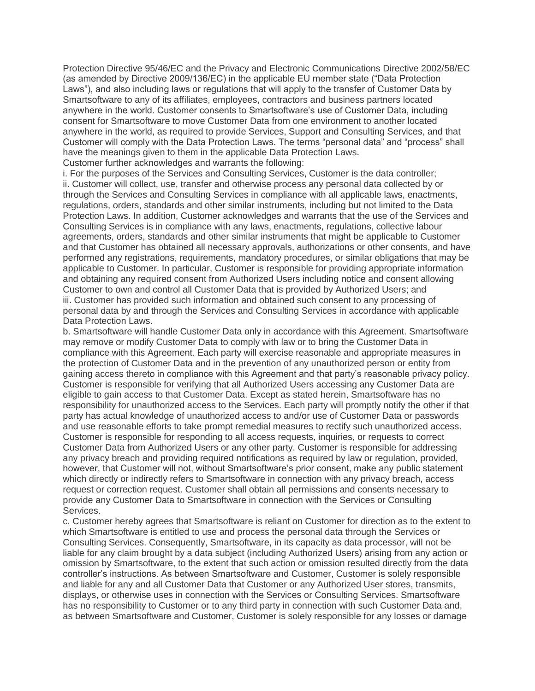Protection Directive 95/46/EC and the Privacy and Electronic Communications Directive 2002/58/EC (as amended by Directive 2009/136/EC) in the applicable EU member state ("Data Protection Laws"), and also including laws or regulations that will apply to the transfer of Customer Data by Smartsoftware to any of its affiliates, employees, contractors and business partners located anywhere in the world. Customer consents to Smartsoftware's use of Customer Data, including consent for Smartsoftware to move Customer Data from one environment to another located anywhere in the world, as required to provide Services, Support and Consulting Services, and that Customer will comply with the Data Protection Laws. The terms "personal data" and "process" shall have the meanings given to them in the applicable Data Protection Laws.

Customer further acknowledges and warrants the following:

i. For the purposes of the Services and Consulting Services, Customer is the data controller; ii. Customer will collect, use, transfer and otherwise process any personal data collected by or through the Services and Consulting Services in compliance with all applicable laws, enactments, regulations, orders, standards and other similar instruments, including but not limited to the Data Protection Laws. In addition, Customer acknowledges and warrants that the use of the Services and Consulting Services is in compliance with any laws, enactments, regulations, collective labour agreements, orders, standards and other similar instruments that might be applicable to Customer and that Customer has obtained all necessary approvals, authorizations or other consents, and have performed any registrations, requirements, mandatory procedures, or similar obligations that may be applicable to Customer. In particular, Customer is responsible for providing appropriate information and obtaining any required consent from Authorized Users including notice and consent allowing Customer to own and control all Customer Data that is provided by Authorized Users; and iii. Customer has provided such information and obtained such consent to any processing of personal data by and through the Services and Consulting Services in accordance with applicable Data Protection Laws.

b. Smartsoftware will handle Customer Data only in accordance with this Agreement. Smartsoftware may remove or modify Customer Data to comply with law or to bring the Customer Data in compliance with this Agreement. Each party will exercise reasonable and appropriate measures in the protection of Customer Data and in the prevention of any unauthorized person or entity from gaining access thereto in compliance with this Agreement and that party's reasonable privacy policy. Customer is responsible for verifying that all Authorized Users accessing any Customer Data are eligible to gain access to that Customer Data. Except as stated herein, Smartsoftware has no responsibility for unauthorized access to the Services. Each party will promptly notify the other if that party has actual knowledge of unauthorized access to and/or use of Customer Data or passwords and use reasonable efforts to take prompt remedial measures to rectify such unauthorized access. Customer is responsible for responding to all access requests, inquiries, or requests to correct Customer Data from Authorized Users or any other party. Customer is responsible for addressing any privacy breach and providing required notifications as required by law or regulation, provided, however, that Customer will not, without Smartsoftware's prior consent, make any public statement which directly or indirectly refers to Smartsoftware in connection with any privacy breach, access request or correction request. Customer shall obtain all permissions and consents necessary to provide any Customer Data to Smartsoftware in connection with the Services or Consulting Services.

c. Customer hereby agrees that Smartsoftware is reliant on Customer for direction as to the extent to which Smartsoftware is entitled to use and process the personal data through the Services or Consulting Services. Consequently, Smartsoftware, in its capacity as data processor, will not be liable for any claim brought by a data subject (including Authorized Users) arising from any action or omission by Smartsoftware, to the extent that such action or omission resulted directly from the data controller's instructions. As between Smartsoftware and Customer, Customer is solely responsible and liable for any and all Customer Data that Customer or any Authorized User stores, transmits, displays, or otherwise uses in connection with the Services or Consulting Services. Smartsoftware has no responsibility to Customer or to any third party in connection with such Customer Data and, as between Smartsoftware and Customer, Customer is solely responsible for any losses or damage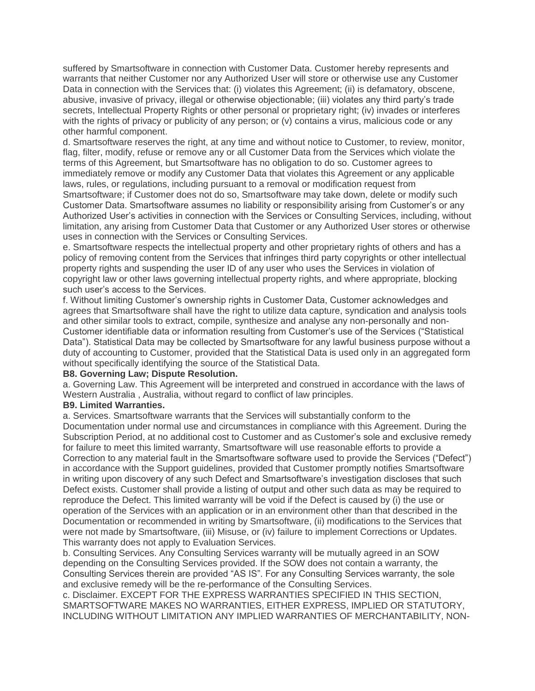suffered by Smartsoftware in connection with Customer Data. Customer hereby represents and warrants that neither Customer nor any Authorized User will store or otherwise use any Customer Data in connection with the Services that: (i) violates this Agreement; (ii) is defamatory, obscene, abusive, invasive of privacy, illegal or otherwise objectionable; (iii) violates any third party's trade secrets, Intellectual Property Rights or other personal or proprietary right; (iv) invades or interferes with the rights of privacy or publicity of any person; or (v) contains a virus, malicious code or any other harmful component.

d. Smartsoftware reserves the right, at any time and without notice to Customer, to review, monitor, flag, filter, modify, refuse or remove any or all Customer Data from the Services which violate the terms of this Agreement, but Smartsoftware has no obligation to do so. Customer agrees to immediately remove or modify any Customer Data that violates this Agreement or any applicable laws, rules, or regulations, including pursuant to a removal or modification request from Smartsoftware; if Customer does not do so, Smartsoftware may take down, delete or modify such Customer Data. Smartsoftware assumes no liability or responsibility arising from Customer's or any Authorized User's activities in connection with the Services or Consulting Services, including, without limitation, any arising from Customer Data that Customer or any Authorized User stores or otherwise uses in connection with the Services or Consulting Services.

e. Smartsoftware respects the intellectual property and other proprietary rights of others and has a policy of removing content from the Services that infringes third party copyrights or other intellectual property rights and suspending the user ID of any user who uses the Services in violation of copyright law or other laws governing intellectual property rights, and where appropriate, blocking such user's access to the Services.

f. Without limiting Customer's ownership rights in Customer Data, Customer acknowledges and agrees that Smartsoftware shall have the right to utilize data capture, syndication and analysis tools and other similar tools to extract, compile, synthesize and analyse any non-personally and non-Customer identifiable data or information resulting from Customer's use of the Services ("Statistical Data"). Statistical Data may be collected by Smartsoftware for any lawful business purpose without a duty of accounting to Customer, provided that the Statistical Data is used only in an aggregated form without specifically identifying the source of the Statistical Data.

#### **B8. Governing Law; Dispute Resolution.**

a. Governing Law. This Agreement will be interpreted and construed in accordance with the laws of Western Australia , Australia, without regard to conflict of law principles.

## **B9. Limited Warranties.**

a. Services. Smartsoftware warrants that the Services will substantially conform to the Documentation under normal use and circumstances in compliance with this Agreement. During the Subscription Period, at no additional cost to Customer and as Customer's sole and exclusive remedy for failure to meet this limited warranty, Smartsoftware will use reasonable efforts to provide a Correction to any material fault in the Smartsoftware software used to provide the Services ("Defect") in accordance with the Support guidelines, provided that Customer promptly notifies Smartsoftware in writing upon discovery of any such Defect and Smartsoftware's investigation discloses that such Defect exists. Customer shall provide a listing of output and other such data as may be required to reproduce the Defect. This limited warranty will be void if the Defect is caused by (i) the use or operation of the Services with an application or in an environment other than that described in the Documentation or recommended in writing by Smartsoftware, (ii) modifications to the Services that were not made by Smartsoftware, (iii) Misuse, or (iv) failure to implement Corrections or Updates. This warranty does not apply to Evaluation Services.

b. Consulting Services. Any Consulting Services warranty will be mutually agreed in an SOW depending on the Consulting Services provided. If the SOW does not contain a warranty, the Consulting Services therein are provided "AS IS". For any Consulting Services warranty, the sole and exclusive remedy will be the re-performance of the Consulting Services.

c. Disclaimer. EXCEPT FOR THE EXPRESS WARRANTIES SPECIFIED IN THIS SECTION, SMARTSOFTWARE MAKES NO WARRANTIES, EITHER EXPRESS, IMPLIED OR STATUTORY, INCLUDING WITHOUT LIMITATION ANY IMPLIED WARRANTIES OF MERCHANTABILITY, NON-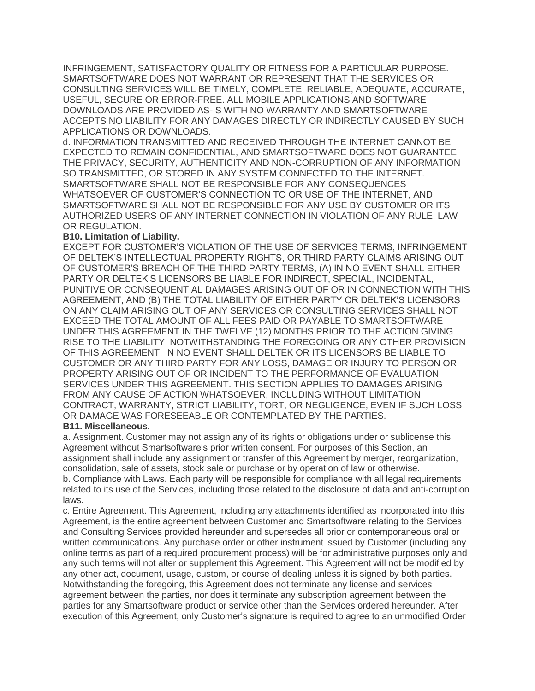INFRINGEMENT, SATISFACTORY QUALITY OR FITNESS FOR A PARTICULAR PURPOSE. SMARTSOFTWARE DOES NOT WARRANT OR REPRESENT THAT THE SERVICES OR CONSULTING SERVICES WILL BE TIMELY, COMPLETE, RELIABLE, ADEQUATE, ACCURATE, USEFUL, SECURE OR ERROR-FREE. ALL MOBILE APPLICATIONS AND SOFTWARE DOWNLOADS ARE PROVIDED AS-IS WITH NO WARRANTY AND SMARTSOFTWARE ACCEPTS NO LIABILITY FOR ANY DAMAGES DIRECTLY OR INDIRECTLY CAUSED BY SUCH APPLICATIONS OR DOWNLOADS.

d. INFORMATION TRANSMITTED AND RECEIVED THROUGH THE INTERNET CANNOT BE EXPECTED TO REMAIN CONFIDENTIAL, AND SMARTSOFTWARE DOES NOT GUARANTEE THE PRIVACY, SECURITY, AUTHENTICITY AND NON-CORRUPTION OF ANY INFORMATION SO TRANSMITTED, OR STORED IN ANY SYSTEM CONNECTED TO THE INTERNET. SMARTSOFTWARE SHALL NOT BE RESPONSIBLE FOR ANY CONSEQUENCES WHATSOEVER OF CUSTOMER'S CONNECTION TO OR USE OF THE INTERNET, AND SMARTSOFTWARE SHALL NOT BE RESPONSIBLE FOR ANY USE BY CUSTOMER OR ITS AUTHORIZED USERS OF ANY INTERNET CONNECTION IN VIOLATION OF ANY RULE, LAW OR REGULATION.

## **B10. Limitation of Liability.**

EXCEPT FOR CUSTOMER'S VIOLATION OF THE USE OF SERVICES TERMS, INFRINGEMENT OF DELTEK'S INTELLECTUAL PROPERTY RIGHTS, OR THIRD PARTY CLAIMS ARISING OUT OF CUSTOMER'S BREACH OF THE THIRD PARTY TERMS, (A) IN NO EVENT SHALL EITHER PARTY OR DELTEK'S LICENSORS BE LIABLE FOR INDIRECT, SPECIAL, INCIDENTAL, PUNITIVE OR CONSEQUENTIAL DAMAGES ARISING OUT OF OR IN CONNECTION WITH THIS AGREEMENT, AND (B) THE TOTAL LIABILITY OF EITHER PARTY OR DELTEK'S LICENSORS ON ANY CLAIM ARISING OUT OF ANY SERVICES OR CONSULTING SERVICES SHALL NOT EXCEED THE TOTAL AMOUNT OF ALL FEES PAID OR PAYABLE TO SMARTSOFTWARE UNDER THIS AGREEMENT IN THE TWELVE (12) MONTHS PRIOR TO THE ACTION GIVING RISE TO THE LIABILITY. NOTWITHSTANDING THE FOREGOING OR ANY OTHER PROVISION OF THIS AGREEMENT, IN NO EVENT SHALL DELTEK OR ITS LICENSORS BE LIABLE TO CUSTOMER OR ANY THIRD PARTY FOR ANY LOSS, DAMAGE OR INJURY TO PERSON OR PROPERTY ARISING OUT OF OR INCIDENT TO THE PERFORMANCE OF EVALUATION SERVICES UNDER THIS AGREEMENT. THIS SECTION APPLIES TO DAMAGES ARISING FROM ANY CAUSE OF ACTION WHATSOEVER, INCLUDING WITHOUT LIMITATION CONTRACT, WARRANTY, STRICT LIABILITY, TORT, OR NEGLIGENCE, EVEN IF SUCH LOSS OR DAMAGE WAS FORESEEABLE OR CONTEMPLATED BY THE PARTIES.

## **B11. Miscellaneous.**

a. Assignment. Customer may not assign any of its rights or obligations under or sublicense this Agreement without Smartsoftware's prior written consent. For purposes of this Section, an assignment shall include any assignment or transfer of this Agreement by merger, reorganization, consolidation, sale of assets, stock sale or purchase or by operation of law or otherwise. b. Compliance with Laws. Each party will be responsible for compliance with all legal requirements related to its use of the Services, including those related to the disclosure of data and anti-corruption laws.

c. Entire Agreement. This Agreement, including any attachments identified as incorporated into this Agreement, is the entire agreement between Customer and Smartsoftware relating to the Services and Consulting Services provided hereunder and supersedes all prior or contemporaneous oral or written communications. Any purchase order or other instrument issued by Customer (including any online terms as part of a required procurement process) will be for administrative purposes only and any such terms will not alter or supplement this Agreement. This Agreement will not be modified by any other act, document, usage, custom, or course of dealing unless it is signed by both parties. Notwithstanding the foregoing, this Agreement does not terminate any license and services agreement between the parties, nor does it terminate any subscription agreement between the parties for any Smartsoftware product or service other than the Services ordered hereunder. After execution of this Agreement, only Customer's signature is required to agree to an unmodified Order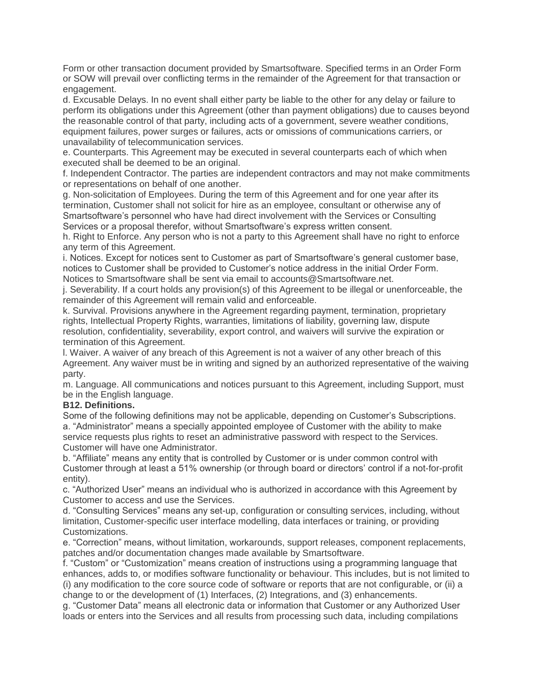Form or other transaction document provided by Smartsoftware. Specified terms in an Order Form or SOW will prevail over conflicting terms in the remainder of the Agreement for that transaction or engagement.

d. Excusable Delays. In no event shall either party be liable to the other for any delay or failure to perform its obligations under this Agreement (other than payment obligations) due to causes beyond the reasonable control of that party, including acts of a government, severe weather conditions, equipment failures, power surges or failures, acts or omissions of communications carriers, or unavailability of telecommunication services.

e. Counterparts. This Agreement may be executed in several counterparts each of which when executed shall be deemed to be an original.

f. Independent Contractor. The parties are independent contractors and may not make commitments or representations on behalf of one another.

g. Non-solicitation of Employees. During the term of this Agreement and for one year after its termination, Customer shall not solicit for hire as an employee, consultant or otherwise any of Smartsoftware's personnel who have had direct involvement with the Services or Consulting Services or a proposal therefor, without Smartsoftware's express written consent.

h. Right to Enforce. Any person who is not a party to this Agreement shall have no right to enforce any term of this Agreement.

i. Notices. Except for notices sent to Customer as part of Smartsoftware's general customer base, notices to Customer shall be provided to Customer's notice address in the initial Order Form. Notices to Smartsoftware shall be sent via email to accounts@Smartsoftware.net.

j. Severability. If a court holds any provision(s) of this Agreement to be illegal or unenforceable, the remainder of this Agreement will remain valid and enforceable.

k. Survival. Provisions anywhere in the Agreement regarding payment, termination, proprietary rights, Intellectual Property Rights, warranties, limitations of liability, governing law, dispute resolution, confidentiality, severability, export control, and waivers will survive the expiration or termination of this Agreement.

l. Waiver. A waiver of any breach of this Agreement is not a waiver of any other breach of this Agreement. Any waiver must be in writing and signed by an authorized representative of the waiving party.

m. Language. All communications and notices pursuant to this Agreement, including Support, must be in the English language.

## **B12. Definitions.**

Some of the following definitions may not be applicable, depending on Customer's Subscriptions. a. "Administrator" means a specially appointed employee of Customer with the ability to make service requests plus rights to reset an administrative password with respect to the Services. Customer will have one Administrator.

b. "Affiliate" means any entity that is controlled by Customer or is under common control with Customer through at least a 51% ownership (or through board or directors' control if a not-for-profit entity).

c. "Authorized User" means an individual who is authorized in accordance with this Agreement by Customer to access and use the Services.

d. "Consulting Services" means any set-up, configuration or consulting services, including, without limitation, Customer-specific user interface modelling, data interfaces or training, or providing Customizations.

e. "Correction" means, without limitation, workarounds, support releases, component replacements, patches and/or documentation changes made available by Smartsoftware.

f. "Custom" or "Customization" means creation of instructions using a programming language that enhances, adds to, or modifies software functionality or behaviour. This includes, but is not limited to (i) any modification to the core source code of software or reports that are not configurable, or (ii) a change to or the development of (1) Interfaces, (2) Integrations, and (3) enhancements.

g. "Customer Data" means all electronic data or information that Customer or any Authorized User loads or enters into the Services and all results from processing such data, including compilations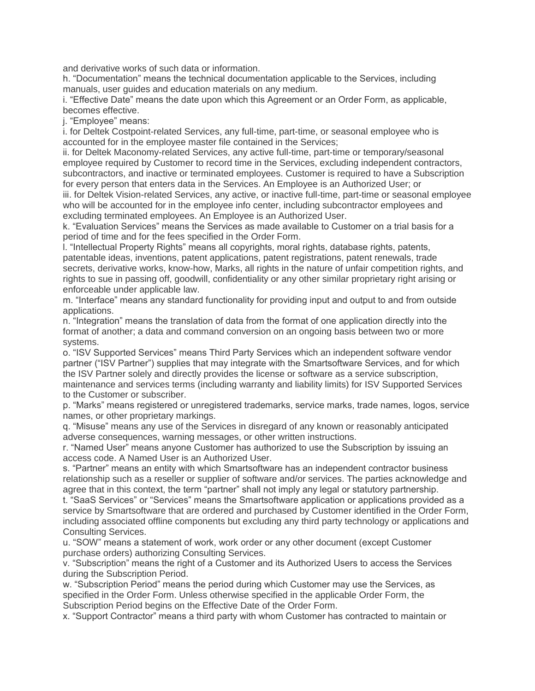and derivative works of such data or information.

h. "Documentation" means the technical documentation applicable to the Services, including manuals, user guides and education materials on any medium.

i. "Effective Date" means the date upon which this Agreement or an Order Form, as applicable, becomes effective.

j. "Employee" means:

i. for Deltek Costpoint-related Services, any full-time, part-time, or seasonal employee who is accounted for in the employee master file contained in the Services;

ii. for Deltek Maconomy-related Services, any active full-time, part-time or temporary/seasonal employee required by Customer to record time in the Services, excluding independent contractors, subcontractors, and inactive or terminated employees. Customer is required to have a Subscription for every person that enters data in the Services. An Employee is an Authorized User; or

iii. for Deltek Vision-related Services, any active, or inactive full-time, part-time or seasonal employee who will be accounted for in the employee info center, including subcontractor employees and excluding terminated employees. An Employee is an Authorized User.

k. "Evaluation Services" means the Services as made available to Customer on a trial basis for a period of time and for the fees specified in the Order Form.

l. "Intellectual Property Rights" means all copyrights, moral rights, database rights, patents, patentable ideas, inventions, patent applications, patent registrations, patent renewals, trade secrets, derivative works, know-how, Marks, all rights in the nature of unfair competition rights, and rights to sue in passing off, goodwill, confidentiality or any other similar proprietary right arising or enforceable under applicable law.

m. "Interface" means any standard functionality for providing input and output to and from outside applications.

n. "Integration" means the translation of data from the format of one application directly into the format of another; a data and command conversion on an ongoing basis between two or more systems.

o. "ISV Supported Services" means Third Party Services which an independent software vendor partner ("ISV Partner") supplies that may integrate with the Smartsoftware Services, and for which the ISV Partner solely and directly provides the license or software as a service subscription, maintenance and services terms (including warranty and liability limits) for ISV Supported Services to the Customer or subscriber.

p. "Marks" means registered or unregistered trademarks, service marks, trade names, logos, service names, or other proprietary markings.

q. "Misuse" means any use of the Services in disregard of any known or reasonably anticipated adverse consequences, warning messages, or other written instructions.

r. "Named User" means anyone Customer has authorized to use the Subscription by issuing an access code. A Named User is an Authorized User.

s. "Partner" means an entity with which Smartsoftware has an independent contractor business relationship such as a reseller or supplier of software and/or services. The parties acknowledge and agree that in this context, the term "partner" shall not imply any legal or statutory partnership.

t. "SaaS Services" or "Services" means the Smartsoftware application or applications provided as a service by Smartsoftware that are ordered and purchased by Customer identified in the Order Form, including associated offline components but excluding any third party technology or applications and Consulting Services.

u. "SOW" means a statement of work, work order or any other document (except Customer purchase orders) authorizing Consulting Services.

v. "Subscription" means the right of a Customer and its Authorized Users to access the Services during the Subscription Period.

w. "Subscription Period" means the period during which Customer may use the Services, as specified in the Order Form. Unless otherwise specified in the applicable Order Form, the Subscription Period begins on the Effective Date of the Order Form.

x. "Support Contractor" means a third party with whom Customer has contracted to maintain or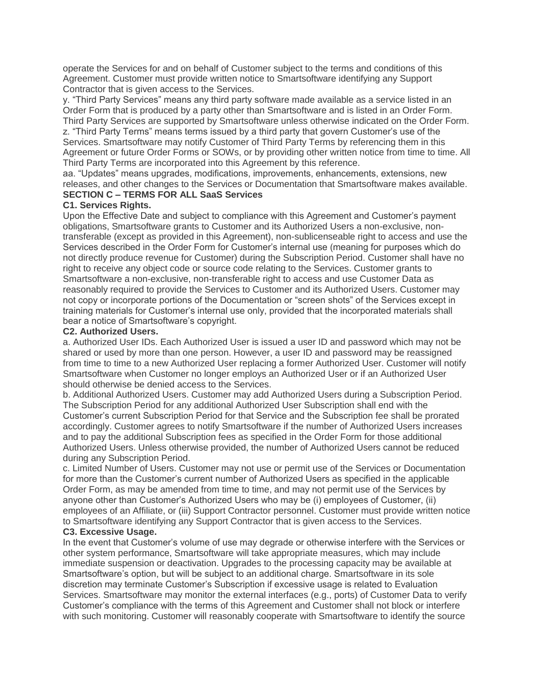operate the Services for and on behalf of Customer subject to the terms and conditions of this Agreement. Customer must provide written notice to Smartsoftware identifying any Support Contractor that is given access to the Services.

y. "Third Party Services" means any third party software made available as a service listed in an Order Form that is produced by a party other than Smartsoftware and is listed in an Order Form. Third Party Services are supported by Smartsoftware unless otherwise indicated on the Order Form. z. "Third Party Terms" means terms issued by a third party that govern Customer's use of the Services. Smartsoftware may notify Customer of Third Party Terms by referencing them in this Agreement or future Order Forms or SOWs, or by providing other written notice from time to time. All Third Party Terms are incorporated into this Agreement by this reference.

aa. "Updates" means upgrades, modifications, improvements, enhancements, extensions, new releases, and other changes to the Services or Documentation that Smartsoftware makes available. **SECTION C – TERMS FOR ALL SaaS Services**

## **C1. Services Rights.**

Upon the Effective Date and subject to compliance with this Agreement and Customer's payment obligations, Smartsoftware grants to Customer and its Authorized Users a non-exclusive, nontransferable (except as provided in this Agreement), non-sublicenseable right to access and use the Services described in the Order Form for Customer's internal use (meaning for purposes which do not directly produce revenue for Customer) during the Subscription Period. Customer shall have no right to receive any object code or source code relating to the Services. Customer grants to Smartsoftware a non-exclusive, non-transferable right to access and use Customer Data as reasonably required to provide the Services to Customer and its Authorized Users. Customer may not copy or incorporate portions of the Documentation or "screen shots" of the Services except in training materials for Customer's internal use only, provided that the incorporated materials shall bear a notice of Smartsoftware's copyright.

## **C2. Authorized Users.**

a. Authorized User IDs. Each Authorized User is issued a user ID and password which may not be shared or used by more than one person. However, a user ID and password may be reassigned from time to time to a new Authorized User replacing a former Authorized User. Customer will notify Smartsoftware when Customer no longer employs an Authorized User or if an Authorized User should otherwise be denied access to the Services.

b. Additional Authorized Users. Customer may add Authorized Users during a Subscription Period. The Subscription Period for any additional Authorized User Subscription shall end with the Customer's current Subscription Period for that Service and the Subscription fee shall be prorated accordingly. Customer agrees to notify Smartsoftware if the number of Authorized Users increases and to pay the additional Subscription fees as specified in the Order Form for those additional Authorized Users. Unless otherwise provided, the number of Authorized Users cannot be reduced during any Subscription Period.

c. Limited Number of Users. Customer may not use or permit use of the Services or Documentation for more than the Customer's current number of Authorized Users as specified in the applicable Order Form, as may be amended from time to time, and may not permit use of the Services by anyone other than Customer's Authorized Users who may be (i) employees of Customer, (ii) employees of an Affiliate, or (iii) Support Contractor personnel. Customer must provide written notice to Smartsoftware identifying any Support Contractor that is given access to the Services.

# **C3. Excessive Usage.**

In the event that Customer's volume of use may degrade or otherwise interfere with the Services or other system performance, Smartsoftware will take appropriate measures, which may include immediate suspension or deactivation. Upgrades to the processing capacity may be available at Smartsoftware's option, but will be subject to an additional charge. Smartsoftware in its sole discretion may terminate Customer's Subscription if excessive usage is related to Evaluation Services. Smartsoftware may monitor the external interfaces (e.g., ports) of Customer Data to verify Customer's compliance with the terms of this Agreement and Customer shall not block or interfere with such monitoring. Customer will reasonably cooperate with Smartsoftware to identify the source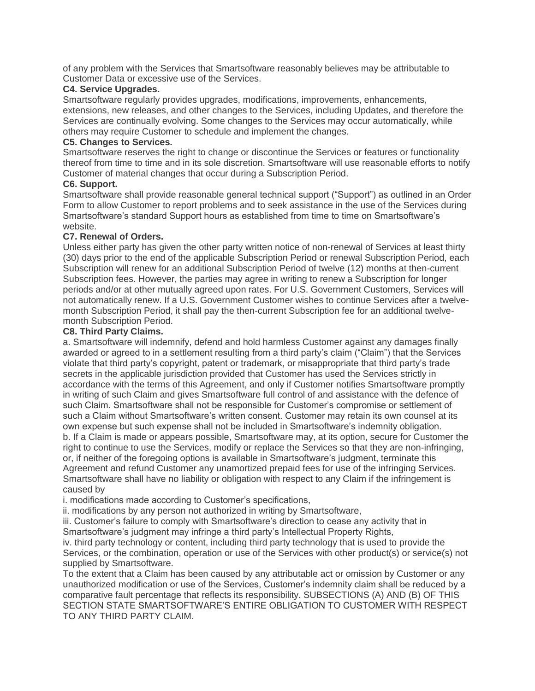of any problem with the Services that Smartsoftware reasonably believes may be attributable to Customer Data or excessive use of the Services.

## **C4. Service Upgrades.**

Smartsoftware regularly provides upgrades, modifications, improvements, enhancements, extensions, new releases, and other changes to the Services, including Updates, and therefore the Services are continually evolving. Some changes to the Services may occur automatically, while others may require Customer to schedule and implement the changes.

## **C5. Changes to Services.**

Smartsoftware reserves the right to change or discontinue the Services or features or functionality thereof from time to time and in its sole discretion. Smartsoftware will use reasonable efforts to notify Customer of material changes that occur during a Subscription Period.

## **C6. Support.**

Smartsoftware shall provide reasonable general technical support ("Support") as outlined in an Order Form to allow Customer to report problems and to seek assistance in the use of the Services during Smartsoftware's standard Support hours as established from time to time on Smartsoftware's website.

## **C7. Renewal of Orders.**

Unless either party has given the other party written notice of non-renewal of Services at least thirty (30) days prior to the end of the applicable Subscription Period or renewal Subscription Period, each Subscription will renew for an additional Subscription Period of twelve (12) months at then-current Subscription fees. However, the parties may agree in writing to renew a Subscription for longer periods and/or at other mutually agreed upon rates. For U.S. Government Customers, Services will not automatically renew. If a U.S. Government Customer wishes to continue Services after a twelvemonth Subscription Period, it shall pay the then-current Subscription fee for an additional twelvemonth Subscription Period.

## **C8. Third Party Claims.**

a. Smartsoftware will indemnify, defend and hold harmless Customer against any damages finally awarded or agreed to in a settlement resulting from a third party's claim ("Claim") that the Services violate that third party's copyright, patent or trademark, or misappropriate that third party's trade secrets in the applicable jurisdiction provided that Customer has used the Services strictly in accordance with the terms of this Agreement, and only if Customer notifies Smartsoftware promptly in writing of such Claim and gives Smartsoftware full control of and assistance with the defence of such Claim. Smartsoftware shall not be responsible for Customer's compromise or settlement of such a Claim without Smartsoftware's written consent. Customer may retain its own counsel at its own expense but such expense shall not be included in Smartsoftware's indemnity obligation. b. If a Claim is made or appears possible, Smartsoftware may, at its option, secure for Customer the right to continue to use the Services, modify or replace the Services so that they are non-infringing, or, if neither of the foregoing options is available in Smartsoftware's judgment, terminate this Agreement and refund Customer any unamortized prepaid fees for use of the infringing Services. Smartsoftware shall have no liability or obligation with respect to any Claim if the infringement is caused by

i. modifications made according to Customer's specifications,

ii. modifications by any person not authorized in writing by Smartsoftware,

iii. Customer's failure to comply with Smartsoftware's direction to cease any activity that in Smartsoftware's judgment may infringe a third party's Intellectual Property Rights,

iv. third party technology or content, including third party technology that is used to provide the Services, or the combination, operation or use of the Services with other product(s) or service(s) not supplied by Smartsoftware.

To the extent that a Claim has been caused by any attributable act or omission by Customer or any unauthorized modification or use of the Services, Customer's indemnity claim shall be reduced by a comparative fault percentage that reflects its responsibility. SUBSECTIONS (A) AND (B) OF THIS SECTION STATE SMARTSOFTWARE'S ENTIRE OBLIGATION TO CUSTOMER WITH RESPECT TO ANY THIRD PARTY CLAIM.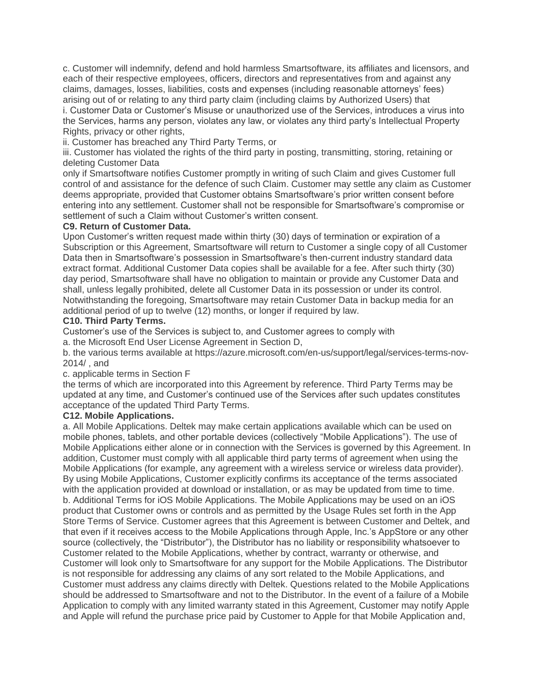c. Customer will indemnify, defend and hold harmless Smartsoftware, its affiliates and licensors, and each of their respective employees, officers, directors and representatives from and against any claims, damages, losses, liabilities, costs and expenses (including reasonable attorneys' fees) arising out of or relating to any third party claim (including claims by Authorized Users) that i. Customer Data or Customer's Misuse or unauthorized use of the Services, introduces a virus into the Services, harms any person, violates any law, or violates any third party's Intellectual Property Rights, privacy or other rights,

ii. Customer has breached any Third Party Terms, or

iii. Customer has violated the rights of the third party in posting, transmitting, storing, retaining or deleting Customer Data

only if Smartsoftware notifies Customer promptly in writing of such Claim and gives Customer full control of and assistance for the defence of such Claim. Customer may settle any claim as Customer deems appropriate, provided that Customer obtains Smartsoftware's prior written consent before entering into any settlement. Customer shall not be responsible for Smartsoftware's compromise or settlement of such a Claim without Customer's written consent.

#### **C9. Return of Customer Data.**

Upon Customer's written request made within thirty (30) days of termination or expiration of a Subscription or this Agreement, Smartsoftware will return to Customer a single copy of all Customer Data then in Smartsoftware's possession in Smartsoftware's then-current industry standard data extract format. Additional Customer Data copies shall be available for a fee. After such thirty (30) day period, Smartsoftware shall have no obligation to maintain or provide any Customer Data and shall, unless legally prohibited, delete all Customer Data in its possession or under its control. Notwithstanding the foregoing, Smartsoftware may retain Customer Data in backup media for an additional period of up to twelve (12) months, or longer if required by law.

## **C10. Third Party Terms.**

Customer's use of the Services is subject to, and Customer agrees to comply with a. the Microsoft End User License Agreement in Section D,

b. the various terms available at https://azure.microsoft.com/en-us/support/legal/services-terms-nov-2014/ , and

#### c. applicable terms in Section F

the terms of which are incorporated into this Agreement by reference. Third Party Terms may be updated at any time, and Customer's continued use of the Services after such updates constitutes acceptance of the updated Third Party Terms.

#### **C12. Mobile Applications.**

a. All Mobile Applications. Deltek may make certain applications available which can be used on mobile phones, tablets, and other portable devices (collectively "Mobile Applications"). The use of Mobile Applications either alone or in connection with the Services is governed by this Agreement. In addition, Customer must comply with all applicable third party terms of agreement when using the Mobile Applications (for example, any agreement with a wireless service or wireless data provider). By using Mobile Applications, Customer explicitly confirms its acceptance of the terms associated with the application provided at download or installation, or as may be updated from time to time. b. Additional Terms for iOS Mobile Applications. The Mobile Applications may be used on an iOS product that Customer owns or controls and as permitted by the Usage Rules set forth in the App Store Terms of Service. Customer agrees that this Agreement is between Customer and Deltek, and that even if it receives access to the Mobile Applications through Apple, Inc.'s AppStore or any other source (collectively, the "Distributor"), the Distributor has no liability or responsibility whatsoever to Customer related to the Mobile Applications, whether by contract, warranty or otherwise, and Customer will look only to Smartsoftware for any support for the Mobile Applications. The Distributor is not responsible for addressing any claims of any sort related to the Mobile Applications, and Customer must address any claims directly with Deltek. Questions related to the Mobile Applications should be addressed to Smartsoftware and not to the Distributor. In the event of a failure of a Mobile Application to comply with any limited warranty stated in this Agreement, Customer may notify Apple and Apple will refund the purchase price paid by Customer to Apple for that Mobile Application and,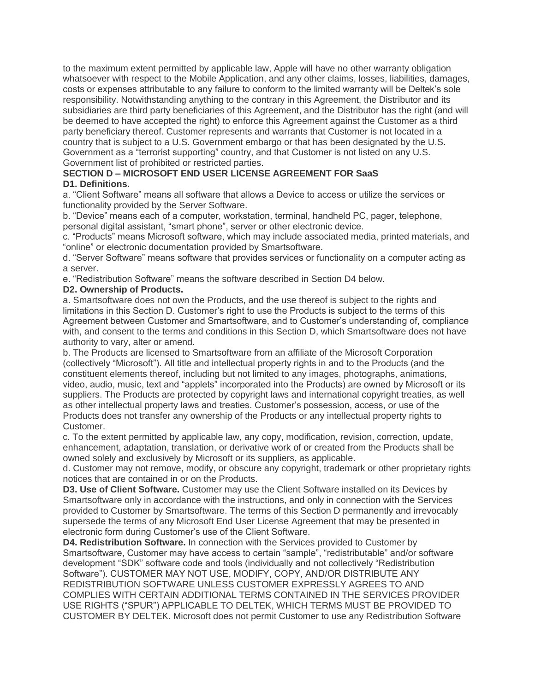to the maximum extent permitted by applicable law, Apple will have no other warranty obligation whatsoever with respect to the Mobile Application, and any other claims, losses, liabilities, damages, costs or expenses attributable to any failure to conform to the limited warranty will be Deltek's sole responsibility. Notwithstanding anything to the contrary in this Agreement, the Distributor and its subsidiaries are third party beneficiaries of this Agreement, and the Distributor has the right (and will be deemed to have accepted the right) to enforce this Agreement against the Customer as a third party beneficiary thereof. Customer represents and warrants that Customer is not located in a country that is subject to a U.S. Government embargo or that has been designated by the U.S. Government as a "terrorist supporting" country, and that Customer is not listed on any U.S. Government list of prohibited or restricted parties.

## **SECTION D – MICROSOFT END USER LICENSE AGREEMENT FOR SaaS D1. Definitions.**

a. "Client Software" means all software that allows a Device to access or utilize the services or functionality provided by the Server Software.

b. "Device" means each of a computer, workstation, terminal, handheld PC, pager, telephone, personal digital assistant, "smart phone", server or other electronic device.

c. "Products" means Microsoft software, which may include associated media, printed materials, and "online" or electronic documentation provided by Smartsoftware.

d. "Server Software" means software that provides services or functionality on a computer acting as a server.

e. "Redistribution Software" means the software described in Section D4 below.

## **D2. Ownership of Products.**

a. Smartsoftware does not own the Products, and the use thereof is subject to the rights and limitations in this Section D. Customer's right to use the Products is subject to the terms of this Agreement between Customer and Smartsoftware, and to Customer's understanding of, compliance with, and consent to the terms and conditions in this Section D, which Smartsoftware does not have authority to vary, alter or amend.

b. The Products are licensed to Smartsoftware from an affiliate of the Microsoft Corporation (collectively "Microsoft"). All title and intellectual property rights in and to the Products (and the constituent elements thereof, including but not limited to any images, photographs, animations, video, audio, music, text and "applets" incorporated into the Products) are owned by Microsoft or its suppliers. The Products are protected by copyright laws and international copyright treaties, as well as other intellectual property laws and treaties. Customer's possession, access, or use of the Products does not transfer any ownership of the Products or any intellectual property rights to Customer.

c. To the extent permitted by applicable law, any copy, modification, revision, correction, update, enhancement, adaptation, translation, or derivative work of or created from the Products shall be owned solely and exclusively by Microsoft or its suppliers, as applicable.

d. Customer may not remove, modify, or obscure any copyright, trademark or other proprietary rights notices that are contained in or on the Products.

**D3. Use of Client Software.** Customer may use the Client Software installed on its Devices by Smartsoftware only in accordance with the instructions, and only in connection with the Services provided to Customer by Smartsoftware. The terms of this Section D permanently and irrevocably supersede the terms of any Microsoft End User License Agreement that may be presented in electronic form during Customer's use of the Client Software.

**D4. Redistribution Software.** In connection with the Services provided to Customer by Smartsoftware, Customer may have access to certain "sample", "redistributable" and/or software development "SDK" software code and tools (individually and not collectively "Redistribution Software"). CUSTOMER MAY NOT USE, MODIFY, COPY, AND/OR DISTRIBUTE ANY REDISTRIBUTION SOFTWARE UNLESS CUSTOMER EXPRESSLY AGREES TO AND COMPLIES WITH CERTAIN ADDITIONAL TERMS CONTAINED IN THE SERVICES PROVIDER USE RIGHTS ("SPUR") APPLICABLE TO DELTEK, WHICH TERMS MUST BE PROVIDED TO CUSTOMER BY DELTEK. Microsoft does not permit Customer to use any Redistribution Software